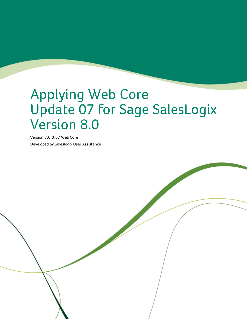# Applying Web Core Update 07 for Sage SalesLogix Version 8.0

Version 8.0.0.07 Web Core Developed by Saleslogix User Assistance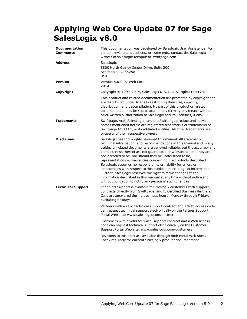## **Applying Web Core Update 07 for Sage SalesLogix v8.0**

| <b>Documentation</b><br><b>Comments</b> | This documentation was developed by Saleslogix User Assistance. For<br>content revisions, questions, or comments, contact the Saleslogix<br>writers at saleslogix.techpubs@swiftpage.com.                                                                                                                                                                                                                                                                                                                                                                                                                                                                                                                                                                                 |
|-----------------------------------------|---------------------------------------------------------------------------------------------------------------------------------------------------------------------------------------------------------------------------------------------------------------------------------------------------------------------------------------------------------------------------------------------------------------------------------------------------------------------------------------------------------------------------------------------------------------------------------------------------------------------------------------------------------------------------------------------------------------------------------------------------------------------------|
| <b>Address</b>                          | Saleslogix<br>8800 North Gainey Center Drive, Suite 200<br>Scottsdale, AZ 85258<br><b>USA</b>                                                                                                                                                                                                                                                                                                                                                                                                                                                                                                                                                                                                                                                                             |
| <b>Version</b>                          | Version 8.0.0.07 Web Core<br>2014                                                                                                                                                                                                                                                                                                                                                                                                                                                                                                                                                                                                                                                                                                                                         |
| Copyright                               | Copyright © 1997-2014, SalesLogix N.A, LLC. All rights reserved                                                                                                                                                                                                                                                                                                                                                                                                                                                                                                                                                                                                                                                                                                           |
|                                         | This product and related documentation are protected by copyright and<br>are distributed under licenses restricting their use, copying,<br>distribution, and decompilation. No part of this product or related<br>documentation may be reproduced in any form by any means without<br>prior written authorization of Saleslogix and its licensors, if any.                                                                                                                                                                                                                                                                                                                                                                                                                |
| <b>Trademarks</b>                       | Swiftpage, Act!, SalesLogix, and the Swiftpage product and service<br>names mentioned herein are registered trademarks or trademarks of<br>Swiftpage ACT! LLC, or its affiliated entities. All other trademarks are<br>property of their respective owners.                                                                                                                                                                                                                                                                                                                                                                                                                                                                                                               |
| <b>Disclaimer</b>                       | Saleslogix has thoroughly reviewed this manual. All statements,<br>technical information, and recommendations in this manual and in any<br>guides or related documents are believed reliable, but the accuracy and<br>completeness thereof are not guaranteed or warranted, and they are<br>not intended to be, nor should they be understood to be,<br>representations or warranties concerning the products described.<br>Saleslogix assumes no responsibility or liability for errors or<br>inaccuracies with respect to this publication or usage of information.<br>Further, Saleslogix reserves the right to make changes to the<br>information described in this manual at any time without notice and<br>without obligation to notify any person of such changes. |
| <b>Technical Support</b>                | Technical Support is available to Saleslogix customers with support<br>contracts directly from Swiftpage, and to Certified Business Partners.<br>Calls are answered during business hours, Monday through Friday,<br>excluding holidays.                                                                                                                                                                                                                                                                                                                                                                                                                                                                                                                                  |
|                                         | Partners with a valid technical support contract and a Web access code<br>can request technical support electronically on the Partner Support<br>Portal Web site: www.saleslogix.com/partners.                                                                                                                                                                                                                                                                                                                                                                                                                                                                                                                                                                            |
|                                         | Customers with a valid technical support contract and a Web access<br>code can request technical support electronically on the Customer<br>Support Portal Web site: www.saleslogix.com/customers.                                                                                                                                                                                                                                                                                                                                                                                                                                                                                                                                                                         |
|                                         | Revisions to this book are available through both Portal Web sites.<br>Check regularly for current Saleslogix product documentation.                                                                                                                                                                                                                                                                                                                                                                                                                                                                                                                                                                                                                                      |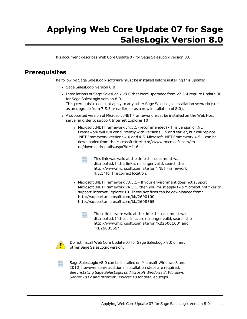## **Applying Web Core Update 07 for Sage SalesLogix Version 8.0**

This document describes Web Core Update 07 for Sage SalesLogix version 8.0.

## **Prerequisites**

The following Sage SalesLogix software must be installed before installing this update:

- Sage SalesLogix version 8.0
- Installations of Sage SalesLogix v8.0 that were upgraded from v7.5.4 require Update 00 for Sage SalesLogix version 8.0. This prerequisite does not apply to any other Sage SalesLogix installation scenario (such as an upgrade from 7.5.3 or earlier, or as a new installation of 8.0).
- <sup>l</sup> A supported version of Microsoft .NET [Framework](http://www.microsoft.com/en-us/download/details.aspx?id=30653) must be installed on the Web Host server in order to support [Internet](http://www.microsoft.com/en-us/download/details.aspx?id=30653) Explorer 10.
	- <sup>l</sup> Microsoft .NET Framework v4.5.1 [\(recommended\)](http://www.microsoft.com/en-us/download/details.aspx?id=30653) This version of .NET Framework will run [concurrently](http://www.microsoft.com/en-us/download/details.aspx?id=30653) with versions 3.5 and earlier, but will replace .NET [Framework](http://www.microsoft.com/en-us/download/details.aspx?id=30653) versions 4.0 and 4.5. Microsoft .NET Framework 4.5.1 can be downloaded from the Microsoft [site:http://www.microsoft.com/en](http://www.microsoft.com/en-us/download/details.aspx?id=30653)[us/download/details.aspx?id=41641](http://www.microsoft.com/en-us/download/details.aspx?id=30653)



- This link was valid at the time this document was distributed. If this link is no longer valid, search the http://www.microsoft.com site for ".NET Framework 4.5.1" for the correct location.
- Microsoft .NET Framework  $v3.5.1$  If your environment does not support Microsoft .NET Framework v4.5.1, then you must apply two Microsoft hot fixes to support Internet Explorer 10. These hot fixes can be downloaded from: http://support.microsoft.com/kb/2600100 http://support.microsoft.com/kb/2608565
	- These links were valid at the time this document was distributed. If these links are no longer valid, search the http://www.microsoft.com site for "KB2600100" and "KB2608565"



Do not install Web Core Update 07 for Sage SalesLogix 8.0 on any other Sage SalesLogix version.



Sage SalesLogix v8.0 can be installed on Microsoft Windows 8 and 2012, however some additional installation steps are required. See *Installing Sage SalesLogix on Microsoft Windows 8, Windows Server 2012 and Internet Explorer 10* for detailed steps.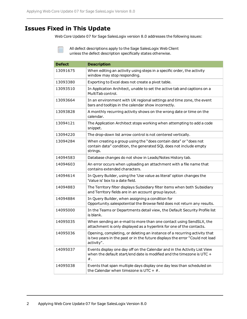## **Issues Fixed in This Update**

Web Core Update 07 for Sage SalesLogix version 8.0 addresses the following issues:

| <b>Defect</b> | <b>Description</b>                                                                                                                                                      |
|---------------|-------------------------------------------------------------------------------------------------------------------------------------------------------------------------|
| 13091675      | When editing an activity using steps in a specific order, the activity<br>window may stop responding.                                                                   |
| 13093380      | Exporting to Excel does not create a pivot table.                                                                                                                       |
| 13093510      | In Application Architect, unable to set the active tab and captions on a<br>MultiTab control.                                                                           |
| 13093664      | In an environment with UK regional settings and time zone, the event<br>bars and tooltips in the calendar show incorrectly.                                             |
| 13093828      | A monthly recurring activity shows on the wrong date or time on the<br>calendar.                                                                                        |
| 13094121      | The Application Architect stops working when attempting to add a code<br>snippet.                                                                                       |
| 13094220      | The drop-down list arrow control is not centered vertically.                                                                                                            |
| 13094284      | When creating a group using the "does contain data" or "does not<br>contain data" condition, the generated SQL does not include empty<br>strings.                       |
| 14094583      | Database changes do not show in Leads/Notes History tab.                                                                                                                |
| 14094603      | An error occurs when uploading an attachment with a file name that<br>contains extended characters.                                                                     |
| 14094614      | In Query Builder, using the 'Use value as literal' option changes the<br>'Value is' box to a date field.                                                                |
| 14094883      | The Territory filter displays Subsidiary filter items when both Subsidiary<br>and Territory fields are in an account group layout.                                      |
| 14094884      | In Query Builder, when assigning a condition for<br>Opportunity.salespotential the Browse field does not return any results.                                            |
| 14095000      | In the Teams or Departments detail view, the Default Security Profile list<br>is blank.                                                                                 |
| 14095035      | When sending an e-mail to more than one contact using SendSLX, the<br>attachment is only displayed as a hyperlink for one of the contacts.                              |
| 14095036      | Opening, completing, or deleting an instance of a recurring activity that<br>is two years in the past or in the future displays the error "Could not load<br>activity". |
| 14095037      | Events display one day off on the Calendar and in the Activity List View<br>when the default start/end date is modified and the timezone is UTC +<br>$#$ .              |
| 14095038      | Events that span multiple days display one day less than scheduled on<br>the Calendar when timezone is UTC + $#$ .                                                      |

Ë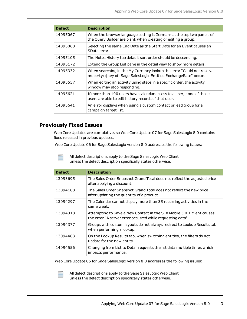| <b>Defect</b> | <b>Description</b>                                                                                                                          |
|---------------|---------------------------------------------------------------------------------------------------------------------------------------------|
| 14095067      | When the browser language setting is German-Li, the top two panels of<br>the Query Builder are blank when creating or editing a group.      |
| 14095068      | Selecting the same End Date as the Start Date for an Event causes an<br>SData error.                                                        |
| 14095105      | The Notes History tab default sort order should be descending.                                                                              |
| 14095172      | Extend the Group List pane in the detail view to show more details.                                                                         |
| 14095332      | When searching in the My Currency lookup the error "Could not resolve<br>property: \$key of: Sage.SalesLogix.Entities.ExchangeRate" occurs. |
| 14095557      | When editing an activity using steps in a specific order, the activity<br>window may stop responding.                                       |
| 14095621      | If more than 100 users have calendar access to a user, none of those<br>users are able to edit history records of that user.                |
| 14095641      | An error displays when using a custom contact or lead group for a<br>campaign target list.                                                  |

#### **Previously Fixed Issues**

Web Core Updates are cumulative, so Web Core Update 07 for Sage SalesLogix 8.0 contains fixes released in previous updates.

Web Core Update 06 for Sage SalesLogix version 8.0 addresses the following issues:

All defect descriptions apply to the Sage SalesLogix Web Client unless the defect description specifically states otherwise.

| <b>Defect</b> | <b>Description</b>                                                                                                                  |
|---------------|-------------------------------------------------------------------------------------------------------------------------------------|
| 13093695      | The Sales Order Snapshot Grand Total does not reflect the adjusted price<br>after applying a discount.                              |
| 13094188      | The Sales Order Snapshot Grand Total does not reflect the new price<br>after updating the quantity of a product.                    |
| 13094297      | The Calendar cannot display more than 35 recurring activities in the<br>same week.                                                  |
| 13094318      | Attempting to Save a New Contact in the SLX Mobile 3.0.1 client causes<br>the error "A server error occurred while requesting data" |
| 13094377      | Groups with custom layouts do not always redirect to Lookup Results tab<br>when performing a lookup.                                |
| 13094483      | On the Lookup Results tab, when switching entities, the filters do not<br>update for the new entity.                                |
| 14094556      | Changing from List to Detail requests the list data multiple times which<br>impacts performance.                                    |

Web Core Update 05 for Sage SalesLogix version 8.0 addresses the following issues: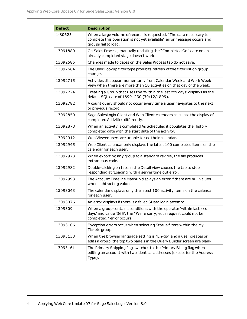| <b>Defect</b> | <b>Description</b>                                                                                                                                                     |
|---------------|------------------------------------------------------------------------------------------------------------------------------------------------------------------------|
| 1-80625       | When a large volume of records is requested, "The data necessary to<br>complete this operation is not yet available" error message occurs and<br>groups fail to load.  |
| 13091880      | On Sales Process, manually updating the "Completed On" date on an<br>already completed stage doesn't work.                                                             |
| 13092585      | Changes made to dates on the Sales Process tab do not save.                                                                                                            |
| 13092664      | The User Lookup filter type prohibits refresh of the filter list on group<br>change.                                                                                   |
| 13092715      | Activities disappear momentarily from Calendar Week and Work Week<br>View when there are more than 10 activities on that day of the week.                              |
| 13092724      | Creating a Group that uses the 'Within the last xxx days' displays as the<br>default SQL date of 18991230 (30/12/1899).                                                |
| 13092782      | A count query should not occur every time a user navigates to the next<br>or previous record.                                                                          |
| 13092850      | Sage SalesLogix Client and Web Client calendars calculate the display of<br>completed Activities differently.                                                          |
| 13092878      | When an activity is completed As Scheduled it populates the History<br>completed date with the start date of the activity.                                             |
| 13092912      | Web Viewer users are unable to see their calendar.                                                                                                                     |
| 13092945      | Web Client calendar only displays the latest 100 completed items on the<br>calendar for each user.                                                                     |
| 13092973      | When exporting any group to a standard csv file, the file produces<br>extraneous code.                                                                                 |
| 13092982      | Double-clicking on tabs in the Detail view causes the tab to stop<br>responding at 'Loading' with a server time out error.                                             |
| 13092993      | The Account Timeline Mashup displays an error if there are null values<br>when subtracting values.                                                                     |
| 13093043      | The calendar displays only the latest 100 activity items on the calendar<br>for each user.                                                                             |
| 13093076      | An error displays if there is a failed SData login attempt.                                                                                                            |
| 13093094      | When a group contains conditions with the operator 'within last xxx<br>days' and value '365', the "We're sorry, your request could not be<br>completed." error occurs. |
| 13093106      | Exception errors occur when selecting Status filters within the My<br>Tickets group.                                                                                   |
| 13093133      | When the browser language setting is "En-gb" and a user creates or<br>edits a group, the top two panels in the Query Builder screen are blank.                         |
| 13093161      | The Primary Shipping flag switches to the Primary Billing flag when<br>editing an account with two identical addresses (except for the Address<br>Type).               |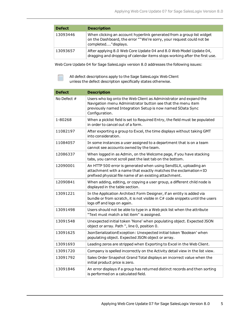| <b>Defect</b> | <b>Description</b>                                                                                                                                                   |
|---------------|----------------------------------------------------------------------------------------------------------------------------------------------------------------------|
| 13093446      | When clicking an account hyperlink generated from a group list widget<br>on the Dashboard, the error ""We're sorry, your request could not be<br>completed"displays. |
| 13093657      | After applying 8.0 Web Core Update 04 and 8.0 Web Model Update 04,<br>dragging and dropping of calendar items stops working after the first use.                     |

Web Core Update 04 for Sage SalesLogix version 8.0 addresses the following issues:

All defect descriptions apply to the Sage SalesLogix Web Client unless the defect description specifically states otherwise.

| <b>Defect</b> | <b>Description</b>                                                                                                                                                                                               |
|---------------|------------------------------------------------------------------------------------------------------------------------------------------------------------------------------------------------------------------|
| No Defect $#$ | Users who log onto the Web Client as Administrator and expand the<br>Navigation menu Administrator button see that the menu item<br>previously named Integration Setup is now named SData Sync<br>Configuration. |
| 1-80268       | When a picklist field is set to Required Entry, the field must be populated<br>in order to cancel out of a form.                                                                                                 |
| 11082197      | After exporting a group to Excel, the time displays without taking GMT<br>into consideration.                                                                                                                    |
| 11084057      | In some instances a user assigned to a department that is on a team<br>cannot see accounts owned by the team.                                                                                                    |
| 12086337      | When logged in as Admin, on the Welcome page, if you have stacking<br>tabs, you cannot scroll past the last tab on the bottom.                                                                                   |
| 12090001      | An HTTP 500 error is generated when using SendSLX, uploading an<br>attachment with a name that exactly matches the exclamation+ID<br>prefixed physical file name of an existing attachment.                      |
| 12090841      | When adding, editing, or copying a user group, a different child node is<br>displayed in the table section.                                                                                                      |
| 13091221      | In the Application Architect Form Designer, if an entity is added via<br>bundle or from scratch, it is not visible in C# code snippets until the users<br>logs off and logs on again.                            |
| 13091498      | Users should not be able to type in a Web pick list when the attribute<br>"Text must match a list item" is assigned.                                                                                             |
| 13091548      | Unexpected initial token 'None' when populating object. Expected JSON<br>object or array. Path ", line 0, position 0.                                                                                            |
| 13091625      | JsonSerializationException: Unexpected initial token 'Boolean' when<br>populating object. Expected JSON object or array.                                                                                         |
| 13091693      | Leading zeros are stripped when Exporting to Excel in the Web Client.                                                                                                                                            |
| 13091720      | Company is spelled incorrectly on the Activity detail view in the list view.                                                                                                                                     |
| 13091792      | Sales Order Snapshot Grand Total displays an incorrect value when the<br>initial product price is zero.                                                                                                          |
| 13091846      | An error displays if a group has returned distinct records and then sorting<br>is performed on a calculated field.                                                                                               |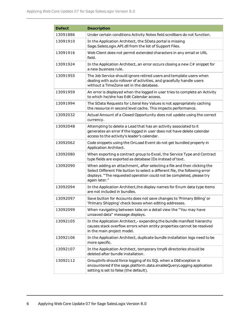| <b>Defect</b> | <b>Description</b>                                                                                                                                                                                                                                |
|---------------|---------------------------------------------------------------------------------------------------------------------------------------------------------------------------------------------------------------------------------------------------|
| 13091886      | Under certain conditions Activity Notes field scrollbars do not function.                                                                                                                                                                         |
| 13091910      | In the Application Architect, the SData portal is missing<br>Sage.SalesLogix.API.dll from the list of Support Files.                                                                                                                              |
| 13091916      | Web Client does not permit extended characters in any email or URL<br>field.                                                                                                                                                                      |
| 13091924      | In the Application Architect, an error occurs closing a new C# snippet for<br>a new business rule.                                                                                                                                                |
| 13091955      | The Job Service should ignore retired users and template users when<br>dealing with auto rollover of activities, and gracefully handle users<br>without a TimeZone set in the database.                                                           |
| 13091959      | An error is displayed when the logged in user tries to complete an Activity<br>to which he/she has Edit Calendar access.                                                                                                                          |
| 13091994      | The SData Requests for Literal Key Values is not appropriately caching<br>the resource in second level cache. This impacts performance.                                                                                                           |
| 13092032      | Actual Amount of a Closed Opportunity does not update using the correct<br>currency.                                                                                                                                                              |
| 13092048      | Attempting to delete a Lead that has an activity associated to it<br>generates an error if the logged in user does not have delete calendar<br>access to the activity's leader's calendar.                                                        |
| 13092062      | Code snippets using the OnLoad Event do not get bundled properly in<br>Application Architect.                                                                                                                                                     |
| 13092080      | When exporting a contract group to Excel, the Service Type and Contract<br>type fields are exported as database IDs instead of text.                                                                                                              |
| 13092090      | When adding an attachment, after selecting a file and then clicking the<br>Select Different File button to select a different file, the following error<br>displays. "The requested operation could not be completed, please try<br>again later." |
| 13092094      | In the Application Architect, the display names for Enum data type items<br>are not included in bundles.                                                                                                                                          |
| 13092097      | Save button for Accounts does not save changes to 'Primary Billing' or<br>'Primary Shipping' check boxes when editing addresses.                                                                                                                  |
| 13092099      | When navigating between tabs on a detail view the "You may have<br>unsaved data" message displays.                                                                                                                                                |
| 13092105      | In the Application Architect,-expanding the bundle manifest hierarchy<br>causes stack overflow errors when entity properties cannot be resolved<br>in the main project model.                                                                     |
| 13092106      | In the Application Architect, duplicate bundle installation logs need to be<br>more specific.                                                                                                                                                     |
| 13092107      | In the Application Architect, temporary tmpN directories should be<br>deleted after bundle installation.                                                                                                                                          |
| 13092112      | GroupInfo should force logging of its SQL when a DbException is<br>encountered if the sage.platform.data.enableQueryLogging application<br>setting is set to false (the default).                                                                 |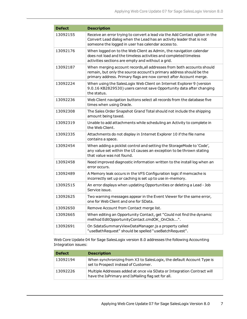| <b>Defect</b> | <b>Description</b>                                                                                                                                                                                                  |
|---------------|---------------------------------------------------------------------------------------------------------------------------------------------------------------------------------------------------------------------|
| 13092155      | Receive an error trying to convert a lead via the Add Contact option in the<br>Convert Lead dialog when the Lead has an activity leader that is not<br>someone the logged in user has calendar access to.           |
| 13092176      | When logged on to the Web Client as Admin, the navigation calendar<br>does not load and the timeless activities and completed timeless<br>activities sections are empty and without a grid.                         |
| 13092187      | When merging account records, all addresses from both accounts should<br>remain, but only the source account's primary address should be the<br>primary address. Primary flags are now correct after Account merge. |
| 13092224      | When using the SalesLogix Web Client on Internet Explorer 9 (version<br>9.0.16 KB2829530) users cannot save Opportunity data after changing<br>the status.                                                          |
| 13092236      | Web Client navigation buttons select all records from the database five<br>times when using Oracle.                                                                                                                 |
| 13092308      | The Sales Order Snapshot Grand Total should not include the shipping<br>amount being taxed.                                                                                                                         |
| 13092319      | Unable to add attachments while scheduling an Activity to complete in<br>the Web Client.                                                                                                                            |
| 13092335      | Attachments do not display in Internet Explorer 10 if the file name<br>contains a space.                                                                                                                            |
| 13092454      | When adding a picklist control and setting the StorageMode to 'Code',<br>any value set within the UI causes an exception to be thrown stating<br>that value was not found.                                          |
| 13092458      | Need improved diagnostic information written to the install log when an<br>error occurs.                                                                                                                            |
| 13092489      | A Memory leak occurs in the VFS Configuration logic if memcache is<br>incorrectly set up or caching is set up to use in-memory.                                                                                     |
| 13092515      | An error displays when updating Opportunities or deleting a Lead - Job<br>Service issue.                                                                                                                            |
| 13092625      | Two warning messages appear in the Event Viewer for the same error,<br>one for Web Client and one for SData.                                                                                                        |
| 13092650      | Remove Account from Contact merge list.                                                                                                                                                                             |
| 13092665      | When editing an Opportunity Contact, get "Could not find the dynamic<br>method EditOpportunityContact.cmdOK_OnClick".                                                                                               |
| 13092691      | On SdataSummaryViewDataManager.js a property called<br>"useBathRequest" should be spelled "useBatchRequest".                                                                                                        |

Web Core Update 04 for Sage SalesLogix version 8.0 addresses the following Accounting Integration issues:

| <b>Defect</b> | <b>Description</b>                                                                                                            |
|---------------|-------------------------------------------------------------------------------------------------------------------------------|
| 13092194      | When synchronizing from X3 to SalesLogix, the default Account Type is<br>set to Prospect instead of Customer.                 |
| 13092226      | Multiple Addresses added at once via SData or Integration Contract will<br>have the IsPrimary and IsMailing flag set for all. |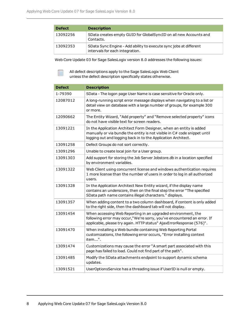| <b>Defect</b> | <b>Description</b>                                                                                   |
|---------------|------------------------------------------------------------------------------------------------------|
| 13092256      | SData creates empty GUID for GlobalSyncID on all new Accounts and<br>Contacts.                       |
| 13092353      | SData Sync Engine - Add ability to execute sync jobs at different<br>intervals for each integration. |

Web Core Update 03 for Sage SalesLogix version 8.0 addresses the following issues:

| <b>Defect</b> | <b>Description</b>                                                                                                                                                                                                |
|---------------|-------------------------------------------------------------------------------------------------------------------------------------------------------------------------------------------------------------------|
| 1-79390       | SData - The logon page User Name is case sensitive for Oracle only.                                                                                                                                               |
| 12087012      | A long-running script error message displays when navigating to a list or<br>detail view on database with a large number of groups, for example 300<br>or more.                                                   |
| 12090662      | The Entity Wizard, "Add property" and "Remove selected property" icons<br>do not have visible text for screen readers.                                                                                            |
| 13091221      | In the Application Architect Form Designer, when an entity is added<br>manually or via bundle the entity is not visible in C# code snippet until<br>logging out and logging back in to the Application Architect. |
| 13091258      | Defect Groups do not sort correctly.                                                                                                                                                                              |
| 13091296      | Unable to create local join for a User group.                                                                                                                                                                     |
| 13091303      | Add support for storing the Job Server Jobstore.db in a location specified<br>by environment variables.                                                                                                           |
| 13091322      | Web Client using concurrent license and windows authentication requires<br>1 more license than the number of users in order to log in all authorized<br>users.                                                    |
| 13091328      | In the Application Architect New Entity wizard, if the display name<br>contains an underscore, then on the final step the error "The specified<br>SData path name contains illegal characters." displays.         |
| 13091357      | When adding content to a two column dashboard, if content is only added<br>to the right side, then the dashboard tab will not display.                                                                            |
| 13091454      | When accessing Web Reporting in an upgraded environment, the<br>following error may occur,"We're sorry, you've encountered an error. If<br>applicable, please try again. HTTP status" AjaxErrorResponse (576)".   |
| 13091470      | When installing a Web bundle containing Web Reporting Portal<br>customizations, the following error occurs, "Error installing context<br>item".                                                                   |
| 13091474      | Customizations may cause the error "A smart part associated with this<br>page has failed to load. Could not find part of the path".                                                                               |
| 13091485      | Modify the SData attachments endpoint to support dynamic schema<br>updates.                                                                                                                                       |
| 13091521      | UserOptionsService has a threading issue if UserID is null or empty.                                                                                                                                              |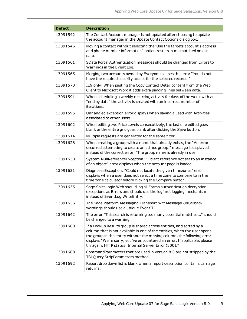| <b>Defect</b> | <b>Description</b>                                                                                                                                                                                                                                                                                                                                                |
|---------------|-------------------------------------------------------------------------------------------------------------------------------------------------------------------------------------------------------------------------------------------------------------------------------------------------------------------------------------------------------------------|
| 13091542      | The Contact Account manager is not updated after choosing to update<br>the account manager in the Update Contact Options dialog box.                                                                                                                                                                                                                              |
| 13091546      | Moving a contact without selecting the"Use the targets account's address<br>and phone number information" option results in mismatched or lost<br>data.                                                                                                                                                                                                           |
| 13091561      | SData Portal Authentication messages should be changed from Errors to<br>Warnings in the Event Log.                                                                                                                                                                                                                                                               |
| 13091565      | Merging two accounts owned by Everyone causes the error "You do not<br>have the required security access for the selected records."                                                                                                                                                                                                                               |
| 13091570      | IE9 only: When pasting the Copy Contact Detail content from the Web<br>Client to Microsoft Word it adds extra padding lines between data.                                                                                                                                                                                                                         |
| 13091591      | When scheduling a weekly recurring activity for days of the week with an<br>"end by date" the activity is created with an incorrect number of<br>iterations.                                                                                                                                                                                                      |
| 13091595      | Unhandled exception error displays when saving a Lead with Activities<br>associated to other users.                                                                                                                                                                                                                                                               |
| 13091602      | When editing two Price Levels consecutively, the last one edited goes<br>blank or the entire grid goes blank after clicking the Save button.                                                                                                                                                                                                                      |
| 13091614      | Multiple requests are generated for the same filter.                                                                                                                                                                                                                                                                                                              |
| 13091628      | When creating a group with a name that already exists, the "An error<br>occurred attempting to create an ad hoc group." message is displayed<br>instead of the correct error, "The group name is already in use."                                                                                                                                                 |
| 13091630      | System.NullReferenceException: "Object reference not set to an instance<br>of an object" error displays when the account page is loaded.                                                                                                                                                                                                                          |
| 13091631      | DiagnosesException: "Could not locate the given timezones" error<br>displays when a user does not select a time zone to compare to in the<br>time zone calculator before clicking the Compare button.                                                                                                                                                             |
| 13091635      | Sage.SalesLogix. Web should log all Forms authentication decryption<br>exceptions as Errors and should use the log4net logging mechanism<br>instead of EventLog. WriteEntry.                                                                                                                                                                                      |
| 13091636      | The Sage.Platform.Messaging.Transport.Wcf.MessageBusCallback<br>warnings should use a unique EventID.                                                                                                                                                                                                                                                             |
| 13091642      | The error "This search is returning too many potential matches" should<br>be changed to a warning.                                                                                                                                                                                                                                                                |
| 13091680      | If a Lookup Results group is shared across entities, and sorted by a<br>column that is not available in one of the entities, when the user opens<br>the group in the entity without the missing column, the following error<br>displays "We're sorry, you've encountered an error. If applicable, please<br>try again. HTTP status: Internal Server Error (500)." |
| 13091688      | CommandParameters that are used in version 8.0 are not stripped by the<br>TSLQuery StripParameters method.                                                                                                                                                                                                                                                        |
| 13091692      | Report drop down list is blank when a report description contains carriage<br>returns.                                                                                                                                                                                                                                                                            |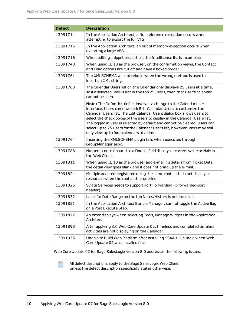| <b>Defect</b> | <b>Description</b>                                                                                                                                                                                                                                                                                                                                                                                                                                                                                            |
|---------------|---------------------------------------------------------------------------------------------------------------------------------------------------------------------------------------------------------------------------------------------------------------------------------------------------------------------------------------------------------------------------------------------------------------------------------------------------------------------------------------------------------------|
| 13091714      | In the Application Architect, a Null reference exception occurs when<br>attempting to export the full VFS.                                                                                                                                                                                                                                                                                                                                                                                                    |
| 13091715      | In the Application Architect, an out of memory exception occurs when<br>exporting a large VFS.                                                                                                                                                                                                                                                                                                                                                                                                                |
| 13091716      | When editing snippet properties, the Intellisense list is incomplete.                                                                                                                                                                                                                                                                                                                                                                                                                                         |
| 13091740      | When using IE 10 as the browser, on the confirmation views, the Contact<br>and Lead options are cut off and have a boxed border.                                                                                                                                                                                                                                                                                                                                                                              |
| 13091761      | The XMLSCHEMA will not rebuild when the wrong method is used to<br>insert an XML string.                                                                                                                                                                                                                                                                                                                                                                                                                      |
| 13091763      | The Calendar Users list on the Calendar only displays 25 users at a time,<br>so if a selected user is not in the top 25 users, then that user's calendar<br>cannot be seen.                                                                                                                                                                                                                                                                                                                                   |
|               | Note: The fix for this defect involves a change to the Calendar user<br>interface. Users can now click Edit Calendar Users to customize the<br>Calendar Users list. The Edit Calendar Users dialog box allows users to<br>select the check boxes of the users to display in the Calendar Users list.<br>The logged in user is selected by default and cannot be cleared. Users can<br>select up to 25 users for the Calendar Users list, however users may still<br>only view up to four calendars at a time. |
| 13091764      | Inserting the XMLSCHEMA plugin fails when executed through<br>GroupManager.aspx.                                                                                                                                                                                                                                                                                                                                                                                                                              |
| 13091786      | Numeric control bound to a Double field displays incorrect value or NaN in<br>the Web Client.                                                                                                                                                                                                                                                                                                                                                                                                                 |
| 13091811      | When using IE 10 as the browser and e-mailing details from Ticket Detail<br>the detail view goes blank and it does not bring up the e-mail.                                                                                                                                                                                                                                                                                                                                                                   |
| 13091824      | Multiple adapters registered using the same root path do not display all<br>resources when the root path is queried.                                                                                                                                                                                                                                                                                                                                                                                          |
| 13091825      | SData Services needs to support Port Forwarding (x-forwarded-port<br>header).                                                                                                                                                                                                                                                                                                                                                                                                                                 |
| 13091832      | Label for Date Range on the tab Notes/History is not localized.                                                                                                                                                                                                                                                                                                                                                                                                                                               |
| 13091851      | In the Application Architect Bundle Manager, cannot toggle the Active flag<br>on a Post Execute Step.                                                                                                                                                                                                                                                                                                                                                                                                         |
| 13091877      | An error displays when selecting Tools, Manage Widgets in the Application<br>Architect.                                                                                                                                                                                                                                                                                                                                                                                                                       |
| 13091898      | After applying 8.0 Web Core Update 02, timeless and completed timeless<br>activities are not displaying on the Calendar.                                                                                                                                                                                                                                                                                                                                                                                      |
| 13091935      | Unable to Build Web Platform after installing SSAA 1.1 bundle when Web<br>Core Update 02 was installed first.                                                                                                                                                                                                                                                                                                                                                                                                 |

Web Core Update 02 for Sage SalesLogix version 8.0 addresses the following issues: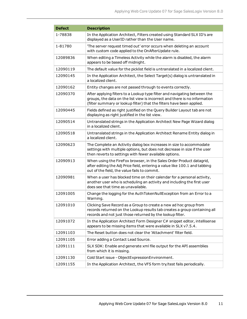| <b>Defect</b> | <b>Description</b>                                                                                                                                                                                                               |
|---------------|----------------------------------------------------------------------------------------------------------------------------------------------------------------------------------------------------------------------------------|
| 1-78838       | In the Application Architect, Filters created using Standard SLX ID's are<br>displayed as a UserID rather than the User name.                                                                                                    |
| 1-81780       | 'The server request timed out' error occurs when deleting an account<br>with custom code applied to the OnAfterUpdate rule.                                                                                                      |
| 12089836      | When editing a Timeless Activity while the alarm is disabled, the alarm<br>appears to be based off midnight.                                                                                                                     |
| 12090119      | The default value for the picklist field is untranslated in a localized client.                                                                                                                                                  |
| 12090145      | In the Application Architect, the Select Target(s) dialog is untranslated in<br>a localized client.                                                                                                                              |
| 12090162      | Entity changes are not passed through to events correctly.                                                                                                                                                                       |
| 12090370      | After applying filters to a Lookup type filter and navigating between the<br>groups, the data on the list view is incorrect and there is no information<br>(filter summary or lookup filter) that the filters have been applied. |
| 12090445      | Fields defined as right justified on the Query Builder Layout tab are not<br>displaying as right justified in the list view.                                                                                                     |
| 12090514      | Untranslated strings in the Application Architect New Page Wizard dialog<br>in a localized client.                                                                                                                               |
| 12090518      | Untranslated strings in the Application Architect Rename Entity dialog in<br>a localized client.                                                                                                                                 |
| 12090623      | The Complete an Activity dialog box increases in size to accommodate<br>settings with multiple options, but does not decrease in size if the user<br>then reverts to settings with fewer available options.                      |
| 12090913      | When using the FireFox browser, in the Sales Order Product datagrid,<br>after editing the Adj Price field, entering a value like 100.1 and tabbing<br>out of the field, the value fails to commit.                               |
| 12090981      | When a user has blocked time on their calendar for a personal activity,<br>another user who is scheduling an activity and including the first user<br>does see that time as unavailable.                                         |
| 12091005      | Change the logging for the AuthTokenNullException from an Error to a<br>Warning.                                                                                                                                                 |
| 12091010      | Clicking Save Record as a Group to create a new ad hoc group from<br>records returned on the Lookup results tab creates a group containing all<br>records and not just those returned by the lookup filter.                      |
| 12091072      | In the Application Architect Form Designer C# snippet editor, intellisense<br>appears to be missing items that were available in SLX v7.5.4.                                                                                     |
| 12091103      | The Reset button does not clear the 'Attachment' filter field.                                                                                                                                                                   |
| 12091105      | Error adding a Contact Lead Source.                                                                                                                                                                                              |
| 12091111      | SLX SDK: Enable and generate xml file output for the API assemblies<br>from which it is missing.                                                                                                                                 |
| 12091130      | Cold Start issue - ObjectExpressionEnvironment.                                                                                                                                                                                  |
| 12091155      | In the Application Architect, the VFS form try/test fails periodically.                                                                                                                                                          |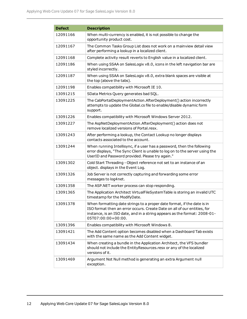| <b>Defect</b> | <b>Description</b>                                                                                                                                                                                                                                     |
|---------------|--------------------------------------------------------------------------------------------------------------------------------------------------------------------------------------------------------------------------------------------------------|
| 12091166      | When multi-currency is enabled, it is not possible to change the<br>opportunity product cost.                                                                                                                                                          |
| 12091167      | The Common Tasks Group List does not work on a mainview detail view<br>after performing a lookup in a localized client.                                                                                                                                |
| 12091168      | Complete activity result reverts to English value in a localized client.                                                                                                                                                                               |
| 12091186      | When using SSAA on SalesLogix v8.0, icons in the left navigation bar are<br>styled incorrectly.                                                                                                                                                        |
| 12091187      | When using SSAA on SalesLogix v8.0, extra blank spaces are visible at<br>the top (above the tabs).                                                                                                                                                     |
| 12091198      | Enables compatibility with Microsoft IE 10.                                                                                                                                                                                                            |
| 13091215      | SData Metrics Query generates bad SQL.                                                                                                                                                                                                                 |
| 13091225      | The CabPortalDeploymentAction.AfterDeployment() action incorrectly<br>attempts to update the Global.cs file to enable/disable dynamic form<br>support.                                                                                                 |
| 13091226      | Enables compatibility with Microsoft Windows Server 2012.                                                                                                                                                                                              |
| 13091227      | The AspNetDeploymentAction.AfterDeployment() action does not<br>remove localized versions of Portal.resx.                                                                                                                                              |
| 13091243      | After performing a lookup, the Contact Lookup no longer displays<br>contacts associated to the account.                                                                                                                                                |
| 13091244      | When running Intellisync, if a user has a password, then the following<br>error displays, "The Sync Client is unable to log on to the server using the<br>UserID and Password provided. Please try again."                                             |
| 13091302      | Cold Start Threading - Object reference not set to an instance of an<br>object. displays in the Event Log.                                                                                                                                             |
| 13091326      | Job Server is not correctly capturing and forwarding some error<br>messages to log4net.                                                                                                                                                                |
| 13091358      | The ASP.NET worker process can stop responding.                                                                                                                                                                                                        |
| 13091365      | The Application Architect VirtualFileSystemTable is storing an invalid UTC<br>timestamp for the ModifyDate.                                                                                                                                            |
| 13091378      | When formatting date strings to a proper date format, if the date is in<br>ISO format then an error occurs. Create Date on all of our entities, for<br>instance, is an ISO date, and in a string appears as the format: 2008-01-<br>05T07:00:00+00:00. |
| 13091396      | Enables compatibility with Microsoft Windows 8.                                                                                                                                                                                                        |
| 13091421      | The Add Content option becomes disabled when a Dashboard Tab exists<br>with the same name as the Add Content widget.                                                                                                                                   |
| 13091434      | When creating a bundle in the Application Architect, the VFS bundler<br>should not include the EntityResources.resx or any of the localized<br>versions of it.                                                                                         |
| 13091469      | Argument Not Null method is generating an extra Argument null<br>exception.                                                                                                                                                                            |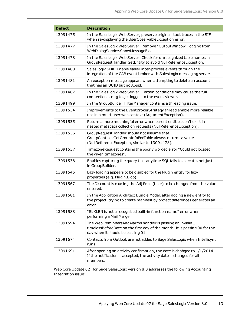| <b>Defect</b> | <b>Description</b>                                                                                                                                                            |
|---------------|-------------------------------------------------------------------------------------------------------------------------------------------------------------------------------|
| 13091475      | In the SalesLogix Web Server, preserve original stack traces in the SIF<br>when re-displaying the UserObservableException error.                                              |
| 13091477      | In the SalesLogix Web Server: Remove "OutputWindow" logging from<br>WebDialogService.ShowMessageEx.                                                                           |
| 13091478      | In the SalesLogix Web Server: Check for unrecognized table names in<br>GroupRequestHandler.GetEntity to avoid NullReferenceException.                                         |
| 13091480      | SalesLogix SDK: Enable easier inter-process events through the<br>integration of the CAB event broker with SalesLogix messaging server.                                       |
| 13091481      | An exception message appears when attempting to delete an account<br>that has an UUID but no Appid.                                                                           |
| 13091487      | In the SalesLogix Web Server: Certain conditions may cause the full<br>connection string to get logged to the event viewer.                                                   |
| 13091499      | In the GroupBuilder, FilterManager contains a threading issue.                                                                                                                |
| 13091534      | Improvements to the EventBrokerStrategy thread enable more reliable<br>use in a multi-user web context (ArgumentException).                                                   |
| 13091535      | Return a more meaningful error when parent entities don't exist in<br>nested metadata collection requests (NullReferenceException).                                           |
| 13091536      | GroupRequestHandler should not assume that<br>GroupContext.GetGroupInfoForTable always returns a value<br>(NullReferenceException, similar to 13091478).                      |
| 13091537      | TimezoneRequest contains the poorly worded error "Could not located<br>the given timezones".                                                                                  |
| 13091538      | Enables capturing the query text anytime SQL fails to execute, not just<br>in GroupBuilder.                                                                                   |
| 13091545      | Lazy loading appears to be disabled for the Plugin entity for lazy<br>properties (e.g. Plugin.Blob):                                                                          |
| 13091567      | The Discount is causing the Adj Price (User) to be changed from the value<br>entered.                                                                                         |
| 13091581      | In the Application Architect Bundle Model, after adding a new entity to<br>the project, trying to create manifest by project differences generates an<br>error.               |
| 13091588      | "SLXLEN is not a recognized built-in function name" error when<br>performing a Mail Merge.                                                                                    |
| 13091594      | The Web RemindersAndAlarms handler is passing an invalid _<br>timelessBeforeDate on the first day of the month. It is passing 00 for the<br>day when it should be passing 01. |
| 13091674      | Contacts from Outlook are not added to Sage SalesLogix when Intellisync<br>runs.                                                                                              |
| 13091691      | After opening an activity confirmation, the date is chabged to 1/1/2014<br>If the notification is accepted, the activity date is changed for all<br>members.                  |

Web Core Update 02 for Sage SalesLogix version 8.0 addresses the following Accounting Integration issue: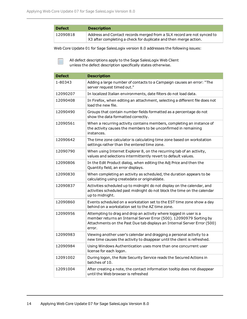F

| <b>Defect</b> | <b>Description</b>                                                                                                                         |
|---------------|--------------------------------------------------------------------------------------------------------------------------------------------|
| 12090818      | Address and Contact records merged from a SLX record are not synced to<br>X3 after completing a check for duplicate and then merge action. |

Web Core Update 01 for Sage SalesLogix version 8.0 addresses the following issues:

| <b>Defect</b> | <b>Description</b>                                                                                                                                                                                                           |
|---------------|------------------------------------------------------------------------------------------------------------------------------------------------------------------------------------------------------------------------------|
| 1-80343       | Adding a large number of contacts to a Campaign causes an error: "The<br>server request timed out."                                                                                                                          |
| 12090207      | In localized Italian environments, date filters do not load data.                                                                                                                                                            |
| 12090408      | In Firefox, when editing an attachment, selecting a different file does not<br>load the new file.                                                                                                                            |
| 12090490      | Groups that contain number fields formatted as a percentage do not<br>show the data formatted correctly.                                                                                                                     |
| 12090561      | When a recurring activity contains members, completing an instance of<br>the activity causes the members to be unconfirmed in remaining<br>instances.                                                                        |
| 12090642      | The time zone calculator is calculating time zone based on workstation<br>settings rather than the entered time zone.                                                                                                        |
| 12090790      | When using Internet Explorer 8, on the recurring tab of an activity,<br>values and selections intermittently revert to default values.                                                                                       |
| 12090806      | In the Edit Product dialog, when editing the Adj Price and then the<br>Quantity field, an error displays.                                                                                                                    |
| 12090830      | When completing an activity as scheduled, the duration appears to be<br>calculating using createdate or originaldate.                                                                                                        |
| 12090837      | Activities scheduled up to midnight do not display on the calendar, and<br>activities scheduled past midnight do not block the time on the calendar<br>up to midnight.                                                       |
| 12090860      | Events scheduled on a workstation set to the EST time zone show a day<br>behind on a workstation set to the AZ time zone.                                                                                                    |
| 12090956      | Attempting to drag and drop an activity where logged in user is a<br>member returns an Internal Server Error (500). 12090979 Sorting by<br>Attachments on the Past Due tab displays an Internal Server Error (500)<br>error. |
| 12090983      | Viewing another user's calendar and dragging a personal activity to a<br>new time causes the activity to disappear until the client is refreshed.                                                                            |
| 12090984      | Using Windows Authentication uses more than one concurrent user<br>license for each logon.                                                                                                                                   |
| 12091002      | During logon, the Role Security Service reads the Secured Actions in<br>batches of 10.                                                                                                                                       |
| 12091004      | After creating a note, the contact information tooltip does not disappear<br>until the Web browser is refreshed                                                                                                              |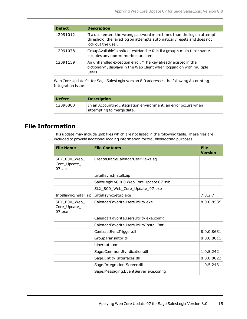| <b>Defect</b> | <b>Description</b>                                                                                                                                                      |
|---------------|-------------------------------------------------------------------------------------------------------------------------------------------------------------------------|
| 12091012      | If a user enters the wrong password more times than the log on attempt<br>threshold, the failed log on attempts automatically resets and does not<br>lock out the user. |
| 12091078      | GroupAvailableJoinsRequestHandler fails if a group's main table name<br>includes any non-numeric characters.                                                            |
| 12091159      | An unhandled exception error, "The key already existed in the<br>dictionary", displays in the Web Client when logging on with multiple<br>users.                        |

Web Core Update 01 for Sage SalesLogix version 8.0 addresses the following Accounting Integration issue:

| <b>Defect</b> | <b>Description</b>                                                                                       |
|---------------|----------------------------------------------------------------------------------------------------------|
| 12090800      | In an Accounting Integration environment, an error occurs when<br>$^{\dagger}$ attempting to merge data. |

## **File Information**

This update may include .pdb files which are not listed in the following table. These files are included to provide additional logging information for troubleshooting purposes.

| <b>File Name</b>                       | <b>File Contents</b>                     | <b>File</b><br><b>Version</b> |
|----------------------------------------|------------------------------------------|-------------------------------|
| SLX_800_Web_<br>Core_Update_<br>07.zip | CreateOracleCalendarUserViews.sql        |                               |
|                                        | IntellisyncInstall.zip                   |                               |
|                                        | SalesLogix v8.0.0 Web Core Update 07.sxb |                               |
|                                        | SLX_800_Web_Core_Update_07.exe           |                               |
| IntellisyncInstall.zip                 | IntellisyncSetup.exe                     | 7.3.2.7                       |
| SLX_800_Web_<br>Core_Update_<br>07.exe | CalendarFavoriteUsersUtility.exe         | 8.0.0.8535                    |
|                                        | CalendarFavoriteUsersUtility.exe.config  |                               |
|                                        | CalendarFavoriteUsersUtilityInstall.Bat  |                               |
|                                        | ContractSyncTrigger.dll                  | 8.0.0.8631                    |
|                                        | GroupTranslator.dll                      | 8.0.0.8811                    |
|                                        | hibernate.xml                            |                               |
|                                        | Sage.Common.Syndication.dll              | 1.0.5.242                     |
|                                        | Sage.Entity.Interfaces.dll               | 8.0.0.8822                    |
|                                        | Sage.Integration.Server.dll              | 1.0.5.243                     |
|                                        | Sage.Messaging.EventServer.exe.config    |                               |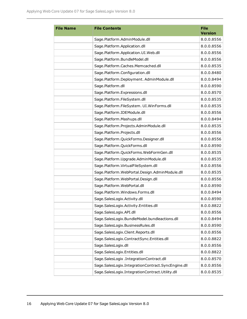| <b>File Name</b> | <b>File Contents</b>                               | <b>File</b><br><b>Version</b> |
|------------------|----------------------------------------------------|-------------------------------|
|                  | Sage.Platform.AdminModule.dll                      | 8.0.0.8556                    |
|                  | Sage.Platform.Application.dll                      | 8.0.0.8556                    |
|                  | Sage.Platform.Application.UI.Web.dll               | 8.0.0.8556                    |
|                  | Sage.Platform.BundleModel.dll                      | 8.0.0.8556                    |
|                  | Sage.Platform.Caches.Memcached.dll                 | 8.0.0.8535                    |
|                  | Sage.Platform.Configuration.dll                    | 8.0.0.8480                    |
|                  | Sage.Platform.Deployment. AdminModule.dll          | 8.0.0.8494                    |
|                  | Sage.Platform.dll                                  | 8.0.0.8590                    |
|                  | Sage.Platform.Expressions.dll                      | 8.0.0.8570                    |
|                  | Sage.Platform.FileSystem.dll                       | 8.0.0.8535                    |
|                  | Sage.Platform.FileSystem. UI.WinForms.dll          | 8.0.0.8535                    |
|                  | Sage.Platform.IDEModule.dll                        | 8.0.0.8556                    |
|                  | Sage.Platform.Mashups.dll                          | 8.0.0.8494                    |
|                  | Sage.Platform.Projects.AdminModule.dll             | 8.0.0.8535                    |
|                  | Sage.Platform.Projects.dll                         | 8.0.0.8556                    |
|                  | Sage.Platform.QuickForms.Designer.dll              | 8.0.0.8556                    |
|                  | Sage.Platform.QuickForms.dll                       | 8.0.0.8590                    |
|                  | Sage.Platform.QuickForms.WebFormGen.dll            | 8.0.0.8535                    |
|                  | Sage.Platform.Upgrade.AdminModule.dll              | 8.0.0.8535                    |
|                  | Sage.Platform.VirtualFileSystem.dll                | 8.0.0.8556                    |
|                  | Sage.Platform.WebPortal.Design.AdminModule.dll     | 8.0.0.8535                    |
|                  | Sage.Platform.WebPortal.Design.dll                 | 8.0.0.8556                    |
|                  | Sage.Platform.WebPortal.dll                        | 8.0.0.8590                    |
|                  | Sage.Platform.Windows.Forms.dll                    | 8.0.0.8494                    |
|                  | Sage.SalesLogix.Activity.dll                       | 8.0.0.8590                    |
|                  | Sage.SalesLogix.Activity.Entities.dll              | 8.0.0.8822                    |
|                  | Sage.SalesLogix.API.dll                            | 8.0.0.8556                    |
|                  | Sage.SalesLogix.BundleModel.bundleactions.dll      | 8.0.0.8494                    |
|                  | Sage.SalesLogix.BusinessRules.dll                  | 8.0.0.8590                    |
|                  | Sage.SalesLogix.Client.Reports.dll                 | 8.0.0.8556                    |
|                  | Sage.SalesLogix.ContractSync.Entities.dll          | 8.0.0.8822                    |
|                  | Sage.SalesLogix.dll                                | 8.0.0.8556                    |
|                  | Sage.SalesLogix.Entities.dll                       | 8.0.0.8822                    |
|                  | Sage.SalesLogix .IntegrationContract.dll           | 8.0.0.8570                    |
|                  | Sage.SalesLogix.IntegrationContract.SyncEngine.dll | 8.0.0.8556                    |
|                  | Sage.SalesLogix.IntegrationContract.Utility.dll    | 8.0.0.8535                    |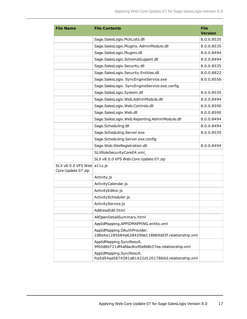| <b>File Name</b>                         | <b>File Contents</b>                                                             | <b>File</b><br><b>Version</b> |
|------------------------------------------|----------------------------------------------------------------------------------|-------------------------------|
|                                          | Sage.SalesLogix.PickLists.dll                                                    | 8.0.0.8535                    |
|                                          | Sage.SalesLogix.Plugins. AdminModule.dll                                         | 8.0.0.8535                    |
|                                          | Sage.SalesLogix.Plugins.dll                                                      | 8.0.0.8494                    |
|                                          | Sage.SalesLogix.SchemaSupport.dll                                                | 8.0.0.8494                    |
|                                          | Sage.SalesLogix.Security.dll                                                     | 8.0.0.8535                    |
|                                          | Sage.SalesLogix.Security.Entities.dll                                            | 8.0.0.8822                    |
|                                          | Sage.SalesLogix. SyncEngineService.exe                                           | 8.0.0.8556                    |
|                                          | Sage.SalesLogix. SyncEngineService.exe.config                                    |                               |
|                                          | Sage.SalesLogix.System.dll                                                       | 8.0.0.8535                    |
|                                          | Sage.SalesLogix.Web.AdminModule.dll                                              | 8.0.0.8494                    |
|                                          | Sage.SalesLogix.Web.Controls.dll                                                 | 8.0.0.8590                    |
|                                          | Sage.SalesLogix.Web.dll                                                          | 8.0.0.8590                    |
|                                          | Sage.SalesLogix.Web.Reporting.AdminModule.dll                                    | 8.0.0.8494                    |
|                                          | Sage.Scheduling.dll                                                              | 8.0.0.8494                    |
|                                          | Sage.Scheduling.Server.exe                                                       | 8.0.0.8535                    |
|                                          | Sage.Scheduling.Server.exe.config                                                |                               |
|                                          | Sage.Web.SiteRegistration.dll                                                    | 8.0.0.8494                    |
|                                          | SLXRoleSecurityCore04.xml                                                        |                               |
|                                          | SLX v8.0.0 VFS Web Core Update 07.zip                                            |                               |
| SLX v8.0.0 VFS Web<br>Core Update 07.zip | $a11y$ .js                                                                       |                               |
|                                          | Activity.js                                                                      |                               |
|                                          | ActivityCalendar.js                                                              |                               |
|                                          | ActivityEditor.js                                                                |                               |
|                                          | ActivityScheduler.js                                                             |                               |
|                                          | ActivityService.js                                                               |                               |
|                                          | AddressEdit.html                                                                 |                               |
|                                          | AllOpenDetailSummary.html                                                        |                               |
|                                          | AppIdMapping.APPIDMAPPING.entity.xml                                             |                               |
|                                          | AppIdMapping.OAuthProvider.<br>2d8e4a1285684a628429be118b69dd3f.relationship.xml |                               |
|                                          | AppIdMapping.SyncResult.<br>9f00d8b721df4afdac8ccf0e8bfe37ea.relationship.xml    |                               |
|                                          | AppIdMapping.SyncResult.<br>fca5d54aa5874381a81422d12017866d.relationship.xml    |                               |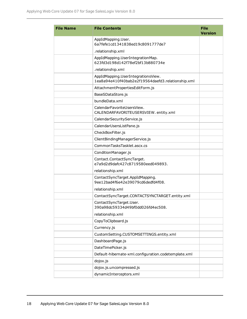| <b>File Name</b> | <b>File Contents</b>                                                                    | <b>File</b><br><b>Version</b> |
|------------------|-----------------------------------------------------------------------------------------|-------------------------------|
|                  | AppIdMapping.User.<br>6a7fefe1cd1341838ed19c8091777de7                                  |                               |
|                  | .relationship.xml                                                                       |                               |
|                  | AppIdMapping.UserIntegrationMap.<br>623fd3d198d142f78ef2bf13b880734e                    |                               |
|                  | .relationship.xml                                                                       |                               |
|                  | AppIdMapping.UserIntegrationsView.<br>1ea8a94e410f40bab2e2f19564daefd3.relationship.xml |                               |
|                  | AttachmentPropertiesEditForm.js                                                         |                               |
|                  | BaseSDataStore.js                                                                       |                               |
|                  | bundleData.xml                                                                          |                               |
|                  | CalendarFavoriteUsersView.<br>CALENDARFAVORITEUSERSVIEW.entity.xml                      |                               |
|                  | CalendarSecurityService.js                                                              |                               |
|                  | CalendarUsersListPane.js                                                                |                               |
|                  | CheckBoxFilter.js                                                                       |                               |
|                  | ClientBindingManagerService.js                                                          |                               |
|                  | CommonTasksTasklet.ascx.cs                                                              |                               |
|                  | ConditionManager.js                                                                     |                               |
|                  | Contact.ContactSyncTarget.<br>e7a9d2d9dafc427c8719580eed049893.                         |                               |
|                  | relationship.xml                                                                        |                               |
|                  | ContactSyncTarget.AppIdMapping.<br>9ee12bad4f6e42e39079cd6dedfd4f08.                    |                               |
|                  | relationship.xml                                                                        |                               |
|                  | ContactSyncTarget.CONTACTSYNCTARGET.entity.xml                                          |                               |
|                  | ContactSyncTarget.User.<br>390a98dc59334d49bf0dd026fd4ec508.                            |                               |
|                  | relationship.xml                                                                        |                               |
|                  | CopyToClipboard.js                                                                      |                               |
|                  | Currency.js                                                                             |                               |
|                  | CustomSetting.CUSTOMSETTINGS.entity.xml                                                 |                               |
|                  | DashboardPage.js                                                                        |                               |
|                  | DateTimePicker.js                                                                       |                               |
|                  | Default-hibernate-xml.configuration.codetemplate.xml                                    |                               |
|                  | dojox.js                                                                                |                               |
|                  | dojox.js.uncompressed.js                                                                |                               |
|                  | dynamicInterceptors.xml                                                                 |                               |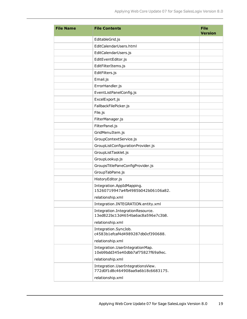| <b>File Name</b> | <b>File Contents</b>                                                   | <b>File</b><br><b>Version</b> |
|------------------|------------------------------------------------------------------------|-------------------------------|
|                  | EditableGrid.js                                                        |                               |
|                  | EditCalendarUsers.html                                                 |                               |
|                  | EditCalendarUsers.js                                                   |                               |
|                  | EditEventEditor.js                                                     |                               |
|                  | EditFilterItems.js                                                     |                               |
|                  | EditFilters.js                                                         |                               |
|                  | Email.js                                                               |                               |
|                  | ErrorHandler.js                                                        |                               |
|                  | EventListPanelConfig.js                                                |                               |
|                  | ExcelExport.js                                                         |                               |
|                  | FallbackFilePicker.js                                                  |                               |
|                  | File.js                                                                |                               |
|                  | FilterManager.js                                                       |                               |
|                  | FilterPanel.js                                                         |                               |
|                  | GridMenuItem.js                                                        |                               |
|                  | GroupContextService.js                                                 |                               |
|                  | GroupListConfigurationProvider.js                                      |                               |
|                  | GroupListTasklet.js                                                    |                               |
|                  | GroupLookup.js                                                         |                               |
|                  | GroupsTitlePaneConfigProvider.js                                       |                               |
|                  | GroupTabPane.js                                                        |                               |
|                  | HistoryEditor.js                                                       |                               |
|                  | Integration.AppIdMapping.<br>15260719947a4fb4985b042b06106a82.         |                               |
|                  | relationship.xml                                                       |                               |
|                  | Integration.INTEGRATION.entity.xml                                     |                               |
|                  | Integration.IntegrationResource.<br>13ed822bc13d4654ba6ac8a596e7c3b8.  |                               |
|                  | relationship.xml                                                       |                               |
|                  | Integration.SyncJob.<br>c4583b1efcaf4d4989287db0cf390688.              |                               |
|                  | relationship.xml                                                       |                               |
|                  | Integration.UserIntegrationMap.<br>10eb9bdd345e40dbb7af75827f69a9ec.   |                               |
|                  | relationship.xml                                                       |                               |
|                  | Integration.UserIntegrationsView.<br>772d0f1d8c464908aa9a6b18c6683175. |                               |
|                  | relationship.xml                                                       |                               |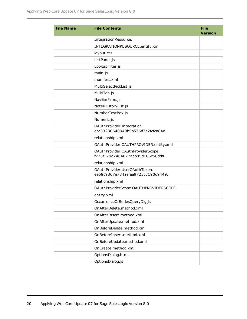| <b>File Name</b> | <b>File Contents</b>                                                   | <b>File</b><br><b>Version</b> |
|------------------|------------------------------------------------------------------------|-------------------------------|
|                  | IntegrationResource.                                                   |                               |
|                  | INTEGRATIONRESOURCE.entity.xml                                         |                               |
|                  | layout.css                                                             |                               |
|                  | ListPanel.js                                                           |                               |
|                  | LookupFilter.js                                                        |                               |
|                  | main.js                                                                |                               |
|                  | manifest.xml                                                           |                               |
|                  | MultiSelectPickList.js                                                 |                               |
|                  | MultiTab.js                                                            |                               |
|                  | NavBarPane.js                                                          |                               |
|                  | NotesHistoryList.js                                                    |                               |
|                  | NumberTextBox.js                                                       |                               |
|                  | Numeric.js                                                             |                               |
|                  | OAuthProvider.Integration.<br>ecd33230640949b5b576d7e2fcfca84e.        |                               |
|                  | relationship.xml                                                       |                               |
|                  | OAuthProvider.OAUTHPROVIDER.entity.xml                                 |                               |
|                  | OAuthProvider.OAuthProviderScope.<br>f725f179d2404872adb85d186c66ddf0. |                               |
|                  | relationship.xml                                                       |                               |
|                  | OAuthProvider.UserOAuthToken.<br>ee58c9867e784aefaa9723c3190d9449.     |                               |
|                  | relationship.xml                                                       |                               |
|                  | OAuthProviderScope.OAUTHPROVIDERSCOPE.                                 |                               |
|                  | entity.xml                                                             |                               |
|                  | OccurrenceOrSeriesQueryDlg.js                                          |                               |
|                  | OnAfterDelete.method.xml                                               |                               |
|                  | OnAfterInsert.method.xml                                               |                               |
|                  | OnAfterUpdate.method.xml                                               |                               |
|                  | OnBeforeDelete.method.xml                                              |                               |
|                  | OnBeforeInsert.method.xml                                              |                               |
|                  | OnBeforeUpdate.method.xml                                              |                               |
|                  | OnCreate.method.xml                                                    |                               |
|                  | OptionsDialog.html                                                     |                               |
|                  | OptionsDialog.js                                                       |                               |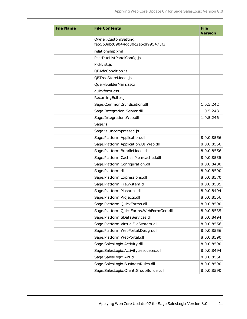| <b>File Name</b> | <b>File Contents</b>                                      | <b>File</b><br><b>Version</b> |
|------------------|-----------------------------------------------------------|-------------------------------|
|                  | Owner.CustomSetting.<br>fe55b3abc09044dd80c2a5c8995473f3. |                               |
|                  | relationship.xml                                          |                               |
|                  | PastDueListPanelConfig.js                                 |                               |
|                  | PickList.js                                               |                               |
|                  | QBAddCondition.js                                         |                               |
|                  | QBTreeStoreModel.js                                       |                               |
|                  | QueryBuilderMain.ascx                                     |                               |
|                  | quickform.css                                             |                               |
|                  | RecurringEditor.js                                        |                               |
|                  | Sage.Common.Syndication.dll                               | 1.0.5.242                     |
|                  | Sage.Integration.Server.dll                               | 1.0.5.243                     |
|                  | Sage.Integration.Web.dll                                  | 1.0.5.246                     |
|                  | Sage.js                                                   |                               |
|                  | Sage.js.uncompressed.js                                   |                               |
|                  | Sage.Platform.Application.dll                             | 8.0.0.8556                    |
|                  | Sage.Platform.Application.UI.Web.dll                      | 8.0.0.8556                    |
|                  | Sage.Platform.BundleModel.dll                             | 8.0.0.8556                    |
|                  | Sage.Platform.Caches.Memcached.dll                        | 8.0.0.8535                    |
|                  | Sage.Platform.Configuration.dll                           | 8.0.0.8480                    |
|                  | Sage.Platform.dll                                         | 8.0.0.8590                    |
|                  | Sage.Platform.Expressions.dll                             | 8.0.0.8570                    |
|                  | Sage.Platform.FileSystem.dll                              | 8.0.0.8535                    |
|                  | Sage.Platform.Mashups.dll                                 | 8.0.0.8494                    |
|                  | Sage.Platform.Projects.dll                                | 8.0.0.8556                    |
|                  | Sage.Platform.QuickForms.dll                              | 8.0.0.8590                    |
|                  | Sage.Platform.QuickForms.WebFormGen.dll                   | 8.0.0.8535                    |
|                  | Sage.Platform.SDataServices.dll                           | 8.0.0.8494                    |
|                  | Sage.Platform.VirtualFileSystem.dll                       | 8.0.0.8556                    |
|                  | Sage.Platform.WebPortal.Design.dll                        | 8.0.0.8556                    |
|                  | Sage.Platform.WebPortal.dll                               | 8.0.0.8590                    |
|                  | Sage.SalesLogix.Activity.dll                              | 8.0.0.8590                    |
|                  | Sage.SalesLogix.Activity.resources.dll                    | 8.0.0.8494                    |
|                  | Sage.SalesLogix.API.dll                                   | 8.0.0.8556                    |
|                  | Sage.SalesLogix.BusinessRules.dll                         | 8.0.0.8590                    |
|                  | Sage.SalesLogix.Client.GroupBuilder.dll                   | 8.0.0.8590                    |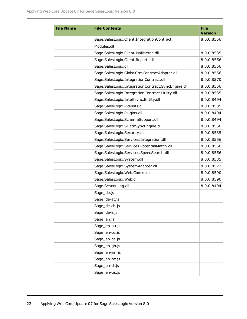| <b>File Name</b> | <b>File Contents</b>                               | <b>File</b><br><b>Version</b> |
|------------------|----------------------------------------------------|-------------------------------|
|                  | Sage.SalesLogix.Client.IntegrationContract.        | 8.0.0.8556                    |
|                  | Modules.dll                                        |                               |
|                  | Sage.SalesLogix.Client.MailMerge.dll               | 8.0.0.8535                    |
|                  | Sage.SalesLogix.Client.Reports.dll                 | 8.0.0.8556                    |
|                  | Sage.SalesLogix.dll                                | 8.0.0.8556                    |
|                  | Sage.SalesLogix.GlobalCrmContractAdapter.dll       | 8.0.0.8556                    |
|                  | Sage.SalesLogix.IntegrationContract.dll            | 8.0.0.8570                    |
|                  | Sage.SalesLogix.IntegrationContract.SyncEngine.dll | 8.0.0.8556                    |
|                  | Sage.SalesLogix.IntegrationContract.Utility.dll    | 8.0.0.8535                    |
|                  | Sage.SalesLogix.Intellisync.Entity.dll             | 8.0.0.8494                    |
|                  | Sage.SalesLogix.Picklists.dll                      | 8.0.0.8535                    |
|                  | Sage.SalesLogix.Plugins.dll                        | 8.0.0.8494                    |
|                  | Sage.SalesLogix.SchemaSupport.dll                  | 8.0.0.8494                    |
|                  | Sage.SalesLogix.SDataSyncEngine.dll                | 8.0.0.8556                    |
|                  | Sage.SalesLogix.Security.dll                       | 8.0.0.8535                    |
|                  | Sage.SalesLogix.Services.Integration.dll           | 8.0.0.8556                    |
|                  | Sage.SalesLogix.Services.PotentialMatch.dll        | 8.0.0.8556                    |
|                  | Sage.SalesLogix.Services.SpeedSearch.dll           | 8.0.0.8556                    |
|                  | Sage.SalesLogix.System.dll                         | 8.0.0.8535                    |
|                  | Sage.SalesLogix.SystemAdapter.dll                  | 8.0.0.8572                    |
|                  | Sage.SalesLogix.Web.Controls.dll                   | 8.0.0.8590                    |
|                  | Sage.SalesLogix.Web.dll                            | 8.0.0.8590                    |
|                  | Sage.Scheduling.dll                                | 8.0.0.8494                    |
|                  | Sage_de.js                                         |                               |
|                  | Sage_de-at.js                                      |                               |
|                  | Sage_de-ch.js                                      |                               |
|                  | Sage_de-li.js                                      |                               |
|                  | Sage_en.js                                         |                               |
|                  | Sage_en-au.js                                      |                               |
|                  | Sage_en-bz.js                                      |                               |
|                  | Sage_en-ca.js                                      |                               |
|                  | Sage_en-gb.js                                      |                               |
|                  | Sage_en-jm.js                                      |                               |
|                  | Sage_en-nz.js                                      |                               |
|                  | Sage_en-tt.js                                      |                               |
|                  | Sage_en-us.js                                      |                               |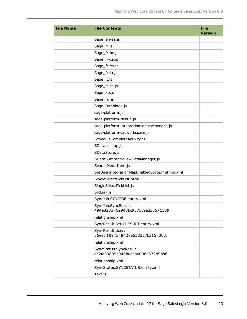| <b>File Name</b> | <b>File Contents</b>                                        | <b>File</b><br><b>Version</b> |
|------------------|-------------------------------------------------------------|-------------------------------|
|                  | Sage_en-za.js                                               |                               |
|                  | Sage_fr.js                                                  |                               |
|                  | Sage_fr-be.js                                               |                               |
|                  | Sage_fr-ca.js                                               |                               |
|                  | Sage_fr-ch.js                                               |                               |
|                  | Sage_fr-lu.js                                               |                               |
|                  | Sage_it.js                                                  |                               |
|                  | Sage_it-ch.js                                               |                               |
|                  | Sage_ko.js                                                  |                               |
|                  | Sage_ru.js                                                  |                               |
|                  | Sage-Combined.js                                            |                               |
|                  | sage-platform.js                                            |                               |
|                  | sage-platform-debug.js                                      |                               |
|                  | sage-platform-integrationcontractservice.js                 |                               |
|                  | sage-platform-tabworkspace.js                               |                               |
|                  | ScheduleCompleteActivity.js                                 |                               |
|                  | SDataLookup.js                                              |                               |
|                  | SDataStore.js                                               |                               |
|                  | SDataSummaryViewDataManager.js                              |                               |
|                  | SearchMenuItem.js                                           |                               |
|                  | SetUserIntegrationMapEnabledState.method.xml                |                               |
|                  | SingleSelectPickList.html                                   |                               |
|                  | SingleSelectPickList.js                                     |                               |
|                  | SlxLink.js                                                  |                               |
|                  | SyncJob.SYNCJOB.entity.xml                                  |                               |
|                  | SyncJob.SyncResult.<br>494e8233762943bc9575c9ad35571589.    |                               |
|                  | relationship.xml                                            |                               |
|                  | SyncResult.SYNCRESULT.entity.xml                            |                               |
|                  | SyncResult.User.<br>36eecf1ff94548428a6383d7b3157303.       |                               |
|                  | relationship.xml                                            |                               |
|                  | SyncStatus.SyncResult.<br>ad2fa53805a948b0aab4006e57289b86. |                               |
|                  | relationship.xml                                            |                               |
|                  | SyncStatus.SYNCSTATUS.entity.xml                            |                               |
|                  | Text.js                                                     |                               |
|                  |                                                             |                               |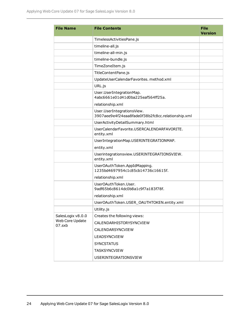| <b>File Name</b>          | <b>File Contents</b>                                                            | <b>File</b><br><b>Version</b> |
|---------------------------|---------------------------------------------------------------------------------|-------------------------------|
|                           | TimelessActivitiesPane.js                                                       |                               |
|                           | timeline-all.js                                                                 |                               |
|                           | timeline-all-min.js                                                             |                               |
|                           | timeline-bundle.js                                                              |                               |
|                           | TimeZoneItem.js                                                                 |                               |
|                           | TitleContentPane.js                                                             |                               |
|                           | UpdateUserCalendarFavorites. method.xml                                         |                               |
|                           | URL.js                                                                          |                               |
|                           | User.UserIntegrationMap.<br>4abc6661e01d41d0ba225eaf564ff25a.                   |                               |
|                           | relationship.xml                                                                |                               |
|                           | User.UserIntegrationsView.<br>3907aee9e4f24eaa8fade0f38b2fc8cc.relationship.xml |                               |
|                           | UserActivityDetailSummary.html                                                  |                               |
|                           | UserCalendarFavorite.USERCALENDARFAVORITE.<br>entity.xml                        |                               |
|                           | UserIntegrationMap.USERINTEGRATIONMAP.                                          |                               |
|                           | entity.xml                                                                      |                               |
|                           | Userintegrationsview.USERINTEGRATIONSVIEW.<br>entity.xml                        |                               |
|                           | UserOAuthToken.AppIdMapping.<br>1235bd4697954c1c85cb14736c16615f.               |                               |
|                           | relationship.xml                                                                |                               |
|                           | UserOAuthToken.User.<br>9adf65b6c8614dc0b8a1c9f7a183f78f.                       |                               |
|                           | relationship.xml                                                                |                               |
|                           | UserOAuthToken.USER_OAUTHTOKEN.entity.xml                                       |                               |
|                           | Utility.js                                                                      |                               |
| SalesLogix v8.0.0         | Creates the following views:                                                    |                               |
| Web Core Update<br>07.sxb | CALENDARHISTORYSYNCVIEW                                                         |                               |
|                           | CALENDARSYNCVIEW                                                                |                               |
|                           | LEADSYNCVIEW                                                                    |                               |
|                           | <b>SYNCSTATUS</b>                                                               |                               |
|                           | <b>TASKSYNCVIEW</b>                                                             |                               |
|                           | USERINTEGRATIONSVIEW                                                            |                               |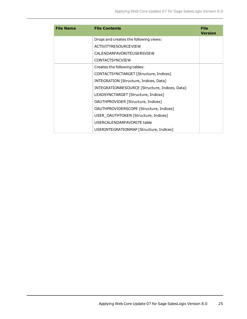| <b>File Name</b> | <b>File Contents</b>                           | File<br><b>Version</b> |
|------------------|------------------------------------------------|------------------------|
|                  | Drops and creates the following views:         |                        |
|                  | <b>ACTIVITYRESOURCEVIEW</b>                    |                        |
|                  | CALENDARFAVORITFUSERSVIEW                      |                        |
|                  | <b>CONTACTSYNCVIEW</b>                         |                        |
|                  | Creates the following tables:                  |                        |
|                  | CONTACTSYNCTARGET [Structure, Indices]         |                        |
|                  | INTEGRATION [Structure, Indices, Data]         |                        |
|                  | INTEGRATIONRESOURCE [Structure, Indices, Data] |                        |
|                  | LEADSYNCTARGET [Structure, Indices]            |                        |
|                  | OAUTHPROVIDER [Structure, Indices]             |                        |
|                  | OAUTHPROVIDERSCOPE [Structure, Indices]        |                        |
|                  | USER_OAUTHTOKEN [Structure, Indices]           |                        |
|                  | USERCALENDARFAVORITE table                     |                        |
|                  | USERINTEGRATIONMAP [Structure, Indices]        |                        |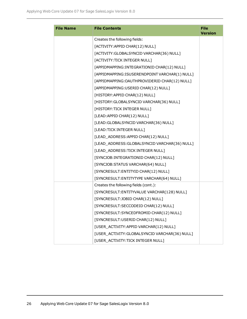| <b>File Name</b> | <b>File Contents</b>                           | <b>File</b><br><b>Version</b> |
|------------------|------------------------------------------------|-------------------------------|
|                  | Creates the following fields:                  |                               |
|                  | [ACTIVITY: APPID CHAR(12) NULL]                |                               |
|                  | [ACTIVITY: GLOBALSYNCID VARCHAR(36) NULL]      |                               |
|                  | [ACTIVITY: TICK INTEGER NULL]                  |                               |
|                  | [APPIDMAPPING: INTEGRATIONID CHAR(12) NULL]    |                               |
|                  | [APPIDMAPPING:ISUSERENDPOINT VARCHAR(1) NULL]  |                               |
|                  | [APPIDMAPPING:OAUTHPROVIDERID CHAR(12) NULL]   |                               |
|                  | [APPIDMAPPING:USERID CHAR(12) NULL]            |                               |
|                  | [HISTORY: APPID CHAR(12) NULL]                 |                               |
|                  | [HISTORY: GLOBALSYNCID VARCHAR(36) NULL]       |                               |
|                  | [HISTORY: TICK INTEGER NULL]                   |                               |
|                  | [LEAD:APPID CHAR(12) NULL]                     |                               |
|                  | [LEAD: GLOBALSYNCID VARCHAR(36) NULL]          |                               |
|                  | [LEAD:TICK INTEGER NULL]                       |                               |
|                  | [LEAD_ADDRESS:APPID CHAR(12) NULL]             |                               |
|                  | [LEAD_ADDRESS:GLOBALSYNCID VARCHAR(36) NULL]   |                               |
|                  | [LEAD_ADDRESS:TICK INTEGER NULL]               |                               |
|                  | [SYNCJOB: INTEGRATIONID CHAR(12) NULL]         |                               |
|                  | [SYNCJOB:STATUS VARCHAR(64) NULL]              |                               |
|                  | [SYNCRESULT: ENTITYID CHAR(12) NULL]           |                               |
|                  | [SYNCRESULT: ENTITYTYPE VARCHAR(64) NULL]      |                               |
|                  | Creates the following fields (cont.):          |                               |
|                  | [SYNCRESULT: ENTITYVALUE VARCHAR(128) NULL]    |                               |
|                  | [SYNCRESULT:JOBID CHAR(12) NULL]               |                               |
|                  | [SYNCRESULT:SECCODEID CHAR(12) NULL]           |                               |
|                  | [SYNCRESULT:SYNCEDFROMID CHAR(12) NULL]        |                               |
|                  | [SYNCRESULT:USERID CHAR(12) NULL]              |                               |
|                  | [USER_ACTIVITY:APPID VARCHAR(12) NULL]         |                               |
|                  | [USER_ACTIVITY: GLOBALSYNCID VARCHAR(36) NULL] |                               |
|                  | [USER_ACTIVITY:TICK INTEGER NULL]              |                               |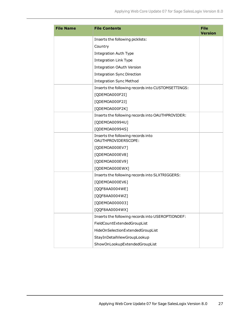| <b>File Name</b> | <b>File Contents</b>                                      | <b>File</b><br><b>Version</b> |
|------------------|-----------------------------------------------------------|-------------------------------|
|                  | Inserts the following picklists:                          |                               |
|                  | Country                                                   |                               |
|                  | <b>Integration Auth Type</b>                              |                               |
|                  | <b>Integration Link Type</b>                              |                               |
|                  | <b>Integration OAuth Version</b>                          |                               |
|                  | <b>Integration Sync Direction</b>                         |                               |
|                  | <b>Integration Sync Method</b>                            |                               |
|                  | Inserts the following records into CUSTOMSETTINGS:        |                               |
|                  | [QDEMOA000F2I]                                            |                               |
|                  | [QDEMOA000F2J]                                            |                               |
|                  | [QDEMOA000F2K]                                            |                               |
|                  | Inserts the following records into OAUTHPROVIDER:         |                               |
|                  | [QDEMOA00994U]                                            |                               |
|                  | [QDEMOA00994S]                                            |                               |
|                  | Inserts the following records into<br>OAUTHPROVIDERSCOPE: |                               |
|                  | [QDEMOA000EV7]                                            |                               |
|                  | [QDEMOA000EV8]                                            |                               |
|                  | [QDEMOA000EV9]                                            |                               |
|                  | [QDEMOA000EWX]                                            |                               |
|                  | Inserts the following records into SLXTRIGGERS:           |                               |
|                  | [QDEMOA000EV6]                                            |                               |
|                  | [QQF8AA0004WE]                                            |                               |
|                  | [QQF8AA0004WZ]                                            |                               |
|                  | [QDEMOA000003]                                            |                               |
|                  | [QQF8AA0004WX]                                            |                               |
|                  | Inserts the following records into USEROPTIONDEF:         |                               |
|                  | FieldCountExtendedGroupList                               |                               |
|                  | HideOnSelectionExtendedGroupList                          |                               |
|                  | StayInDetailViewGroupLookup                               |                               |
|                  | ShowOnLookupExtendedGroupList                             |                               |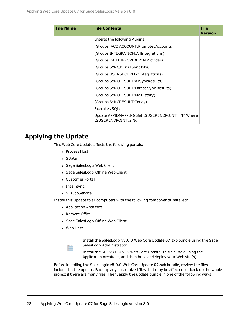| <b>File Name</b> | <b>File Contents</b>                                                                | File<br><b>Version</b> |
|------------------|-------------------------------------------------------------------------------------|------------------------|
|                  | Inserts the following Plugins:                                                      |                        |
|                  | (Groups, ACO ACCOUNT: Promoted Accounts                                             |                        |
|                  | (Groups INTEGRATION: All Integrations)                                              |                        |
|                  | (Groups OAUTHPROVIDER: All Providers)                                               |                        |
|                  | (Groups SYNCJOB: All SyncJobs)                                                      |                        |
|                  | (Groups USERSECURITY: Integrations)                                                 |                        |
|                  | (Groups SYNCRESULT:AllSyncResults)                                                  |                        |
|                  | (Groups SYNCRESULT: Latest Sync Results)                                            |                        |
|                  | (Groups SYNCRESULT:My History)                                                      |                        |
|                  | (Groups SYNCRESULT:Today)                                                           |                        |
|                  | Executes SQL:                                                                       |                        |
|                  | Update APPIDMAPPING Set ISUSERENDPOINT = 'F' Where<br><b>ISUSERENDPOINT Is Null</b> |                        |

## **Applying the Update**

This Web Core Update affects the following portals:

- Process Host
- SData
- Sage SalesLogix Web Client
- Sage SalesLogix Offline Web Client
- Customer Portal
- Intellisync
- SLXJobService

Install this Update to all computers with the following components installed:

- Application Architect
- Remote Office
- Sage SalesLogix Offline Web Client
- Web Host

Install the SalesLogix v8.0.0 Web Core Update 07.sxb bundle using the Sage SalesLogix Administrator.

Install the SLX v8.0.0 VFS Web Core Update 07.zip bundle using the Application Architect, and then build and deploy your Web site(s).

Before installing the SalesLogix v8.0.0 Web Core Update 07.sxb bundle, review the files included in the update. Back up any customized files that may be affected, or back up the whole project if there are many files. Then, apply the update bundle in one of the following ways: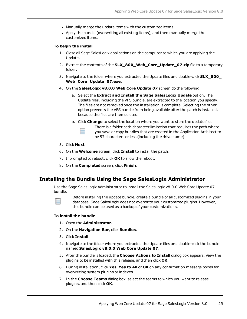- . Manually merge the update items with the customized items.
- Apply the bundle (overwriting all existing items), and then manually merge the customized items.

#### **To begin the install**

- 1. Close all Sage SalesLogix applications on the computer to which you are applying the Update.
- 2. Extract the contents of the **SLX\_800\_Web\_Core\_Update\_07.zip** file to a temporary folder.
- 3. Navigate to the folder where you extracted the Update files and double-click **SLX\_800\_ Web\_Core\_Update\_07.exe**.
- 4. On the **SalesLogix v8.0.0 Web Core Update 07** screen do the following:
	- a. Select the **Extract and Install the Sage SalesLogix Update** option. The Update files, including the VFS bundle, are extracted to the location you specify. The files are not removed once the installation is complete. Selecting the other option prevents the VFS bundle from being available after the patch is installed, because the files are then deleted.
	- b. Click **Change** to select the location where you want to store the update files.

There is a folder path character limitation that requires the path where you save or copy bundles that are created in the Application Architect to be 57 characters or less (including the drive name).

- 5. Click **Next**.
- 6. On the **Welcome** screen, click **Install** to install the patch.
- 7. If prompted to reboot, click **OK** to allow the reboot.
- 8. On the **Completed** screen, click **Finish**.

#### **Installing the Bundle Using the Sage SalesLogix Administrator**

Use the Sage SalesLogix Administrator to install the SalesLogix v8.0.0 Web Core Update 07 bundle.

Before installing the update bundle, create a bundle of all customized plugins in your database. Sage SalesLogix does not overwrite your customized plugins. However, this bundle can be used as a backup of your customizations.

#### **To install the bundle**

- 1. Open the **Administrator**.
- 2. On the **Navigation Bar**, click **Bundles**.
- 3. Click **Install**.
- 4. Navigate to the folder where you extracted the Update files and double-click the bundle named **SalesLogix v8.0.0 Web Core Update 07**.
- 5. After the bundle is loaded, the **Choose Actions to Install** dialog box appears. View the plugins to be installed with this release, and then click **OK**.
- 6. During installation, click **Yes**, **Yes to All** or **OK** on any confirmation message boxes for overwriting system plugins or indexes.
- 7. In the **Choose Teams** dialog box, select the teams to which you want to release plugins, and then click **OK**.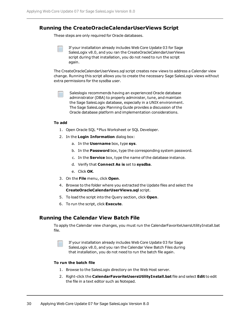#### **Running the CreateOracleCalendarUserViews Script**

These steps are only required for Oracle databases.

If your installation already includes Web Core Update 03 for Sage SalesLogix v8.0, and you ran the CreateOracleCalendarUserViews script during that installation, you do not need to run the script again.

The CreateOracleCalendarUserViews.sql script creates new views to address a Calendar view change. Running this script allows you to create the necessary Sage SalesLogix views without extra permissions for the sysdba user.

Saleslogix recommends having an experienced Oracle database administrator (DBA) to properly administer, tune, and maintain the Sage SalesLogix database, especially in a UNIX environment. The Sage SalesLogix Planning Guide provides a discussion of the Oracle database platform and implementation considerations.

#### **To add**

- 1. Open Oracle SQL \*Plus Worksheet or SQL Developer.
- 2. In the **Login Information** dialog box:
	- a. In the **Username** box, type **sys**.
	- b. In the **Password** box, type the corresponding system password.
	- c. In the **Service** box, type the name of the database instance.
	- d. Verify that **Connect As is** set to **sysdba**.
	- e. Click **OK**.
- 3. On the **File** menu, click **Open**.
- 4. Browse to the folder where you extracted the Update files and select the **CreateOracleCalendarUserViews.sql** script.
- 5. To load the script into the Query section, click **Open**.
- 6. To run the script, click **Execute**.

#### **Running the Calendar View Batch File**

To apply the Calendar view changes, you must run the CalendarFavoriteUsersUtilityInstall.bat file.

If your installation already includes Web Core Update 03 for Sage SalesLogix v8.0, and you ran the Calendar View Batch Files during that installation, you do not need to run the batch file again.

#### **To run the batch file**

- 1. Browse to the SalesLogix directory on the Web Host server.
- 2. Right-click the **CalendarFavoriteUsersUtilityInstall.bat** file and select **Edit** to edit the file in a text editor such as Notepad.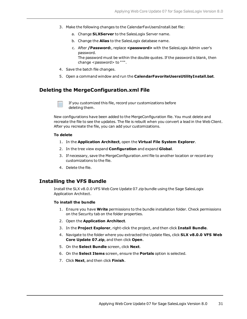- 3. Make the following changes to the CalendarFavUsersInstall.bat file:
	- a. Change **SLXServer** to the SalesLogix Server name.
	- b. Change the **Alias** to the SalesLogix database name.
	- c. After **/Password:**, replace **<password>** with the SalesLogix Admin user's password.

The password must be within the double quotes. If the password is blank, then change <password> to "'".

- 4. Save the batch file changes.
- 5. Open a command window and run the **CalendarFavoriteUsersUtilityInstall.bat**.

#### **Deleting the MergeConfiguration.xml File**

If you customized this file, record your customizations before deleting them.

New configurations have been added to the MergeConfiguration file. You must delete and recreate the file to see the updates. The file is rebuilt when you convert a lead in the Web Client. After you recreate the file, you can add your customizations.

#### **To delete**

- 1. In the **Application Architect**, open the **Virtual File System Explorer**.
- 2. In the tree view expand **Configuration** and expand **Global**.
- 3. If necessary, save the MergeConfiguration.xml file to another location or record any customizations to the file.
- 4. Delete the file.

#### **Installing the VFS Bundle**

Install the SLX v8.0.0 VFS Web Core Update 07.zip bundle using the Sage SalesLogix Application Architect.

#### **To install the bundle**

- 1. Ensure you have **Write** permissions to the bundle installation folder. Check permissions on the Security tab on the folder properties.
- 2. Open the **Application Architect**.
- 3. In the **Project Explorer**, right-click the project, and then click **Install Bundle**.
- 4. Navigate to the folder where you extracted the Update files, click **SLX v8.0.0 VFS Web Core Update 07.zip**, and then click **Open**.
- 5. On the **Select Bundle** screen, click **Next**.
- 6. On the **Select Items** screen, ensure the **Portals** option is selected.
- 7. Click **Next**, and then click **Finish**.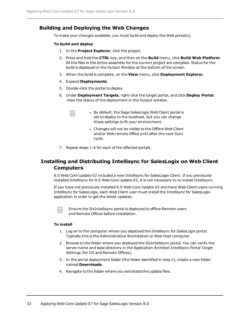#### **Building and Deploying the Web Changes**

To make your changes available, you must build and deploy the Web portal(s).

#### **To build and deploy**

- 1. In the **Project Explorer**, click the project.
- 2. Press and hold the **CTRL** key, and then on the **Build** menu, click **Build Web Platform**. All the files in the entire assembly for the current project are compiled. Status for the build is displayed in the Output Window at the bottom of the screen.
- 3. When the build is complete, on the **View** menu, click **Deployment Explorer**.
- 4. Expand **Deployments**.
- 5. Double-click the portal to deploy.
- 6. Under **Deployment Targets**, right-click the target portal, and click **Deploy Portal**. View the status of the deployment in the Output window.
	- By default, the Sage SalesLogix Web Client portal is set to deploy to the localhost, but you can change these settings to fit your environment.
		- Changes will not be visible to the Offline Web Client and/or Web remote Office until after the next Sync cycle.
- 7. Repeat steps 1-6 for each of the affected portals.

### **Installing and Distributing Intellisync for SalesLogix on Web Client Computers**

8.0 Web Core Update 02 included a new Intellisync for SalesLogix Client. If you previously installed Intellisync for 8.0 Web Core Update 02, it is not necessary to re-install Intellisync.

If you have not previously installed 8.0 Web Core Update 02 and have Web Client users running Intellisync for SalesLogix, each Web Client user must install the Intellisync for SalesLogix application in order to get the latest updates.



Ensure the SlxIntellisync portal is deployed to offline Remote users and Remote Offices before installation.

#### **To install**

- 1. Log on to the computer where you deployed the Intellisync for SalesLogix portal. Typically this is the Administrative Workstation or Web Host computer.
- 2. Browse to the folder where you deployed the SlxIntellisync portal. You can verify the server name and base directory in the Application Architect Intellisync Portal Target Settings (for IIS and Remote Offices).
- 3. In the portal deployment folder (the folder identified in step 2), create a new folder named **Downloads**.
- 4. Navigate to the folder where you extracted the update files.